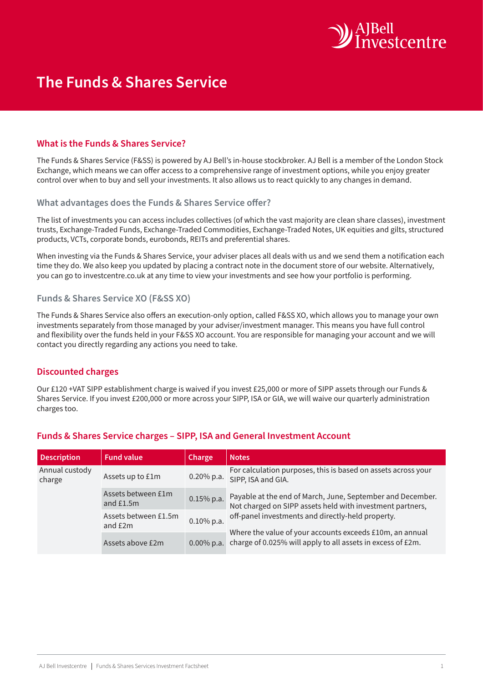

# **The Funds & Shares Service**

### **What is the Funds & Shares Service?**

The Funds & Shares Service (F&SS) is powered by AJ Bell's in-house stockbroker. AJ Bell is a member of the London Stock Exchange, which means we can offer access to a comprehensive range of investment options, while you enjoy greater control over when to buy and sell your investments. It also allows us to react quickly to any changes in demand.

#### **What advantages does the Funds & Shares Service offer?**

The list of investments you can access includes collectives (of which the vast majority are clean share classes), investment trusts, Exchange-Traded Funds, Exchange-Traded Commodities, Exchange-Traded Notes, UK equities and gilts, structured products, VCTs, corporate bonds, eurobonds, REITs and preferential shares.

When investing via the Funds & Shares Service, your adviser places all deals with us and we send them a notification each time they do. We also keep you updated by placing a contract note in the document store of our website. Alternatively, you can go to investcentre.co.uk at any time to view your investments and see how your portfolio is performing.

#### **Funds & Shares Service XO (F&SS XO)**

The Funds & Shares Service also offers an execution-only option, called F&SS XO, which allows you to manage your own investments separately from those managed by your adviser/investment manager. This means you have full control and flexibility over the funds held in your F&SS XO account. You are responsible for managing your account and we will contact you directly regarding any actions you need to take.

## **Discounted charges**

Our £120 +VAT SIPP establishment charge is waived if you invest £25,000 or more of SIPP assets through our Funds & Shares Service. If you invest £200,000 or more across your SIPP, ISA or GIA, we will waive our quarterly administration charges too.

| <b>Description</b>       | <b>Fund value</b>                 | <b>Charge</b> | <b>Notes</b>                                                                                                                                                                                                                                                                                            |
|--------------------------|-----------------------------------|---------------|---------------------------------------------------------------------------------------------------------------------------------------------------------------------------------------------------------------------------------------------------------------------------------------------------------|
| Annual custody<br>charge | Assets up to £1m                  | 0.20% p.a.    | For calculation purposes, this is based on assets across your<br>SIPP, ISA and GIA.                                                                                                                                                                                                                     |
|                          | Assets between £1m<br>and $£1.5m$ | $0.15\%$ p.a. | Payable at the end of March, June, September and December.<br>Not charged on SIPP assets held with investment partners,<br>off-panel investments and directly-held property.<br>Where the value of your accounts exceeds £10m, an annual<br>charge of 0.025% will apply to all assets in excess of £2m. |
|                          | Assets between £1.5m<br>and £2m   | $0.10\%$ p.a. |                                                                                                                                                                                                                                                                                                         |
|                          | Assets above £2m                  | $0.00\%$ p.a. |                                                                                                                                                                                                                                                                                                         |

#### **Funds & Shares Service charges – SIPP, ISA and General Investment Account**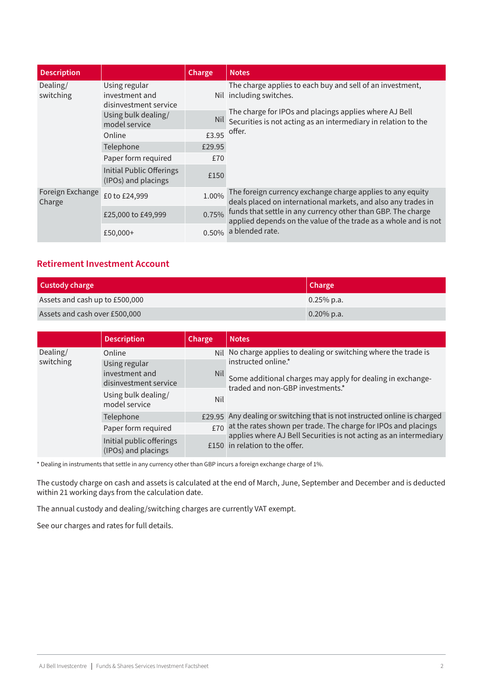| <b>Description</b>         |                                                          | Charge   | <b>Notes</b>                                                                                                                                                                                                                                                         |
|----------------------------|----------------------------------------------------------|----------|----------------------------------------------------------------------------------------------------------------------------------------------------------------------------------------------------------------------------------------------------------------------|
| Dealing/<br>switching      | Using regular<br>investment and<br>disinvestment service |          | The charge applies to each buy and sell of an investment,<br>Nil including switches.<br>The charge for IPOs and placings applies where AJ Bell<br>Nil Securities is not acting as an intermediary in relation to the<br>$£3.95$ offer.                               |
|                            | Using bulk dealing/<br>model service                     |          |                                                                                                                                                                                                                                                                      |
|                            | Online                                                   |          |                                                                                                                                                                                                                                                                      |
|                            | Telephone                                                | £29.95   |                                                                                                                                                                                                                                                                      |
|                            | Paper form required                                      | £70      |                                                                                                                                                                                                                                                                      |
|                            | <b>Initial Public Offerings</b><br>(IPOs) and placings   | £150     |                                                                                                                                                                                                                                                                      |
| Foreign Exchange<br>Charge | £0 to £24,999                                            | 1.00%    | The foreign currency exchange charge applies to any equity<br>deals placed on international markets, and also any trades in<br>0.75% funds that settle in any currency other than GBP. The charge<br>applied depends on the value of the trade as a whole and is not |
|                            | £25,000 to £49,999                                       |          |                                                                                                                                                                                                                                                                      |
|                            | £50,000+                                                 | $0.50\%$ | a blended rate.                                                                                                                                                                                                                                                      |

## **Retirement Investment Account**

| Custody charge                 | Charge        |
|--------------------------------|---------------|
| Assets and cash up to £500,000 | $0.25\%$ p.a. |
| Assets and cash over £500,000  | $0.20\%$ p.a. |

|                       | <b>Description</b>                              | Charge | <b>Notes</b>                                                                                                                                                                                                                                         |
|-----------------------|-------------------------------------------------|--------|------------------------------------------------------------------------------------------------------------------------------------------------------------------------------------------------------------------------------------------------------|
| Dealing/<br>switching | Online                                          |        | Nil No charge applies to dealing or switching where the trade is<br>instructed online.*                                                                                                                                                              |
|                       | Using regular                                   |        |                                                                                                                                                                                                                                                      |
|                       | investment and                                  |        | Nil Some additional charges may apply for dealing in exchange-                                                                                                                                                                                       |
|                       | disinvestment service                           |        | traded and non-GBP investments.*                                                                                                                                                                                                                     |
|                       | Using bulk dealing/<br>model service            | Nil    |                                                                                                                                                                                                                                                      |
|                       | Telephone                                       |        | £29.95 Any dealing or switching that is not instructed online is charged<br>$£70$ at the rates shown per trade. The charge for IPOs and placings applies where AJ Bell Securities is not acting as an intermediary<br>£150 in relation to the offer. |
|                       | Paper form required                             |        |                                                                                                                                                                                                                                                      |
|                       | Initial public offerings<br>(IPOs) and placings |        |                                                                                                                                                                                                                                                      |

\* Dealing in instruments that settle in any currency other than GBP incurs a foreign exchange charge of 1%.

The custody charge on cash and assets is calculated at the end of March, June, September and December and is deducted within 21 working days from the calculation date.

The annual custody and dealing/switching charges are currently VAT exempt.

See our charges and rates for full details.